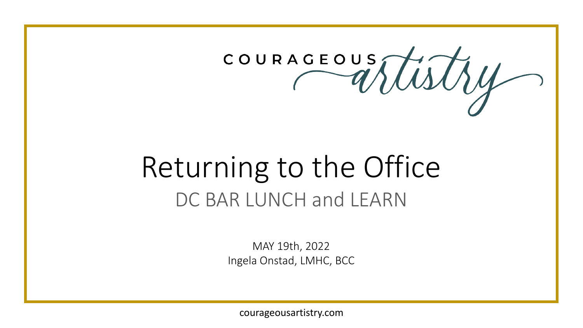

# Returning to the Office DC BAR LUNCH and LEARN

MAY 19th, 2022 Ingela Onstad, LMHC, BCC

courageousartistry.com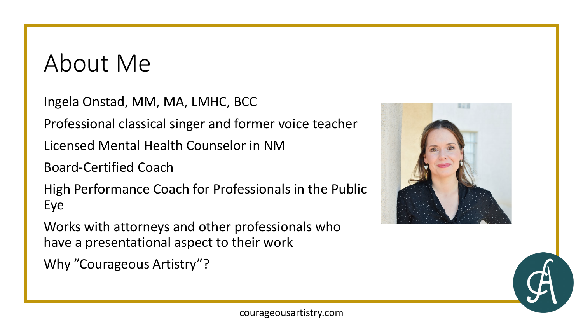#### About Me

Ingela Onstad, MM, MA, LMHC, BCC Professional classical singer and former voice teacher Licensed Mental Health Counselor in NM Board-Certified Coach High Performance Coach for Professionals in the Public Eye

Works with attorneys and other professionals who have a presentational aspect to their work

Why "Courageous Artistry"?



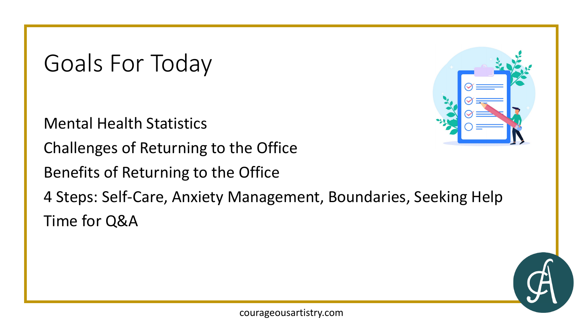Goals For Today

Mental Health Statistics

Challenges of Returning to the Office

Benefits of Returning to the Office



4 Steps: Self-Care, Anxiety Management, Boundaries, Seeking Help Time for Q&A

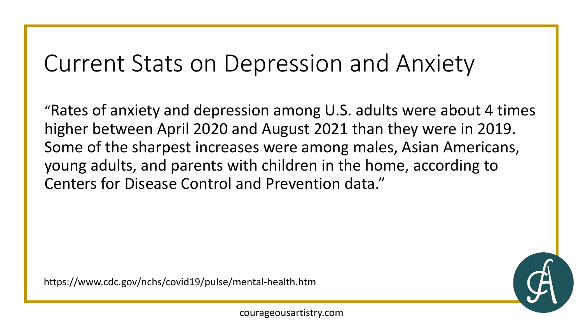#### Current Stats on Depression and Anxiety

"Rates of anxiety and depression among U.S. adults were about 4 times higher between April 2020 and August 2021 than they were in 2019. Some of the sharpest increases were among males, Asian Americans, young adults, and parents with children in the home, according to Centers for Disease Control and Prevention data."

https://www.cdc.gov/nchs/covid19/pulse/mental-health.htm

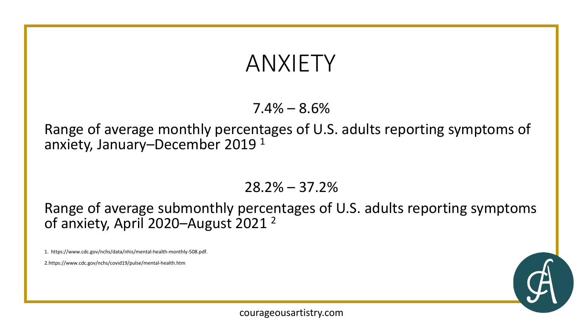#### ANXIETY

 $7.4\% - 8.6\%$ 

Range of average monthly percentages of U.S. adults reporting symptoms of anxiety, January–December 2019 <sup>1</sup>

28.2% – 37.2%

Range of average submonthly percentages of U.S. adults reporting symptoms of anxiety, April 2020-August 2021<sup>2</sup>

1. https://www.cdc.gov/nchs/data/nhis/mental-health-monthly-508.pdf.

2.https://www.cdc.gov/nchs/covid19/pulse/mental-health.htm

courageousartistry.com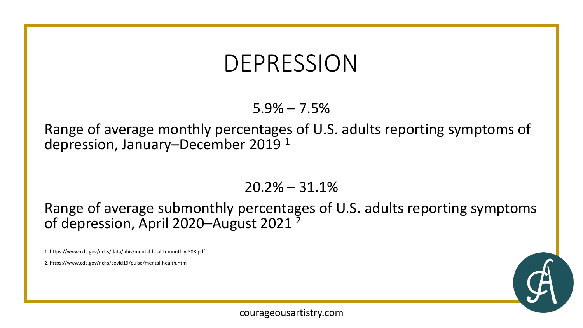#### DEPRESSION

 $5.9\% - 7.5\%$ 

Range of average monthly percentages of U.S. adults reporting symptoms of depression, January–December 2019 <sup>1</sup>

 $20.2\% - 31.1\%$ 

Range of average submonthly percentages of U.S. adults reporting symptoms of depression, April 2020–August 2021<sup>2</sup>

1. https://www.cdc.gov/nchs/data/nhis/mental-health-monthly-508.pdf.

2. https://www.cdc.gov/nchs/covid19/pulse/mental-health.htm

courageousartistry.com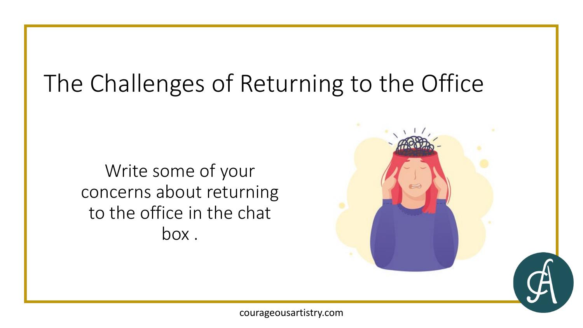## The Challenges of Returning to the Office

Write some of your concerns about returning to the office in the chat box .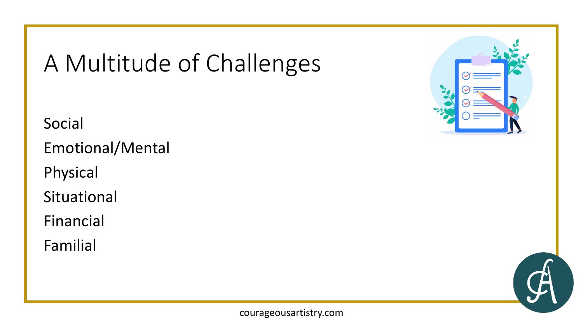## A Multitude of Challenges

Social

Emotional/Mental

Physical

Situational

Financial

Familial



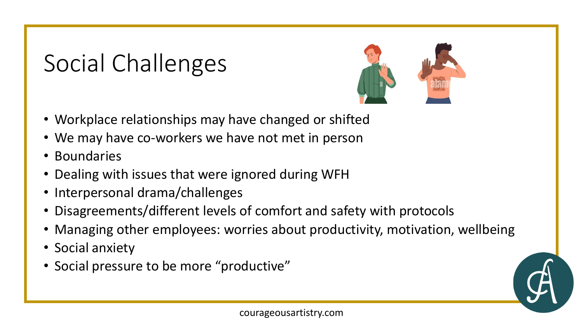## Social Challenges



- Workplace relationships may have changed or shifted
- We may have co-workers we have not met in person
- Boundaries
- Dealing with issues that were ignored during WFH
- Interpersonal drama/challenges
- Disagreements/different levels of comfort and safety with protocols
- Managing other employees: worries about productivity, motivation, wellbeing
- Social anxiety
- Social pressure to be more "productive"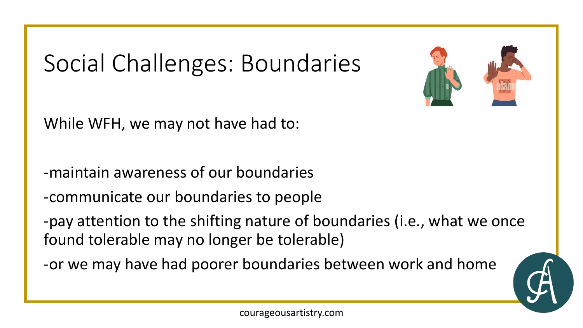## Social Challenges: Boundaries

While WFH, we may not have had to:

-maintain awareness of our boundaries

-communicate our boundaries to people

-pay attention to the shifting nature of boundaries (i.e., what we once found tolerable may no longer be tolerable)

-or we may have had poorer boundaries between work and home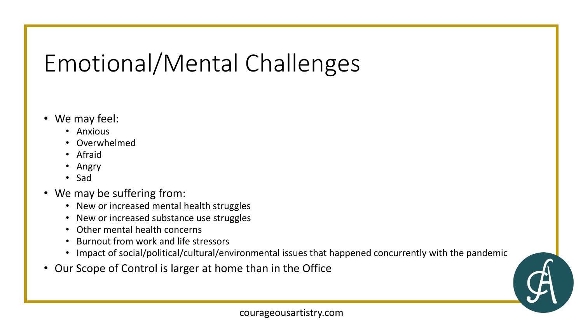## Emotional/Mental Challenges

- We may feel:
	- Anxious
	- Overwhelmed
	- Afraid
	- Angry
	- Sad
- We may be suffering from:
	- New or increased mental health struggles
	- New or increased substance use struggles
	- Other mental health concerns
	- Burnout from work and life stressors
	- Impact of social/political/cultural/environmental issues that happened concurrently with the pandemic
- Our Scope of Control is larger at home than in the Office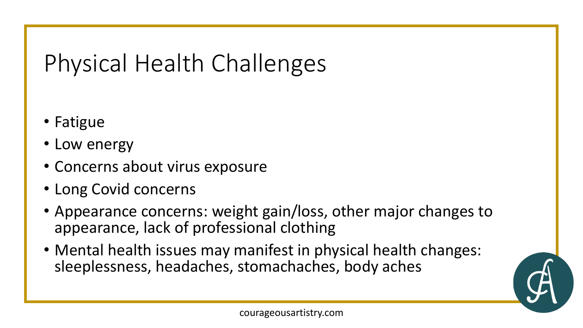# Physical Health Challenges

- Fatigue
- Low energy
- Concerns about virus exposure
- Long Covid concerns
- Appearance concerns: weight gain/loss, other major changes to appearance, lack of professional clothing
- Mental health issues may manifest in physical health changes: sleeplessness, headaches, stomachaches, body aches

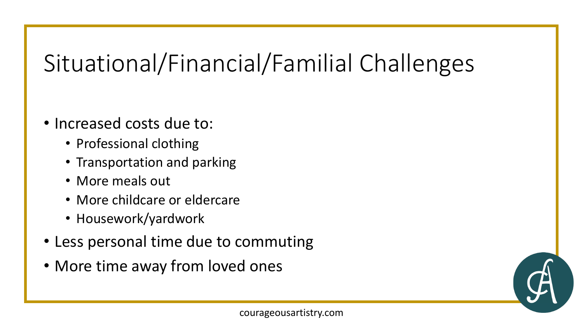# Situational/Financial/Familial Challenges

- Increased costs due to:
	- Professional clothing
	- Transportation and parking
	- More meals out
	- More childcare or eldercare
	- Housework/yardwork
- Less personal time due to commuting
- More time away from loved ones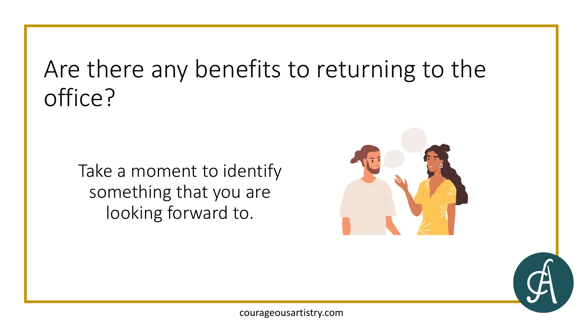## Are there any benefits to returning to the office?

Take a moment to identify something that you are looking forward to.



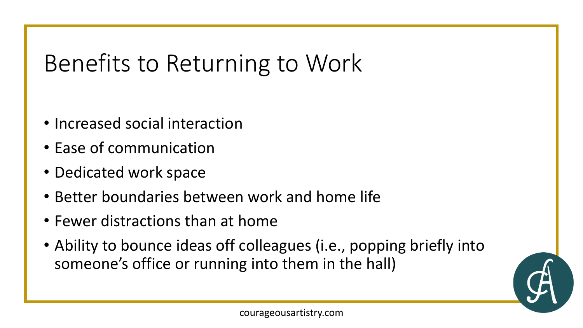## Benefits to Returning to Work

- Increased social interaction
- Ease of communication
- Dedicated work space
- Better boundaries between work and home life
- Fewer distractions than at home
- Ability to bounce ideas off colleagues (i.e., popping briefly into someone's office or running into them in the hall)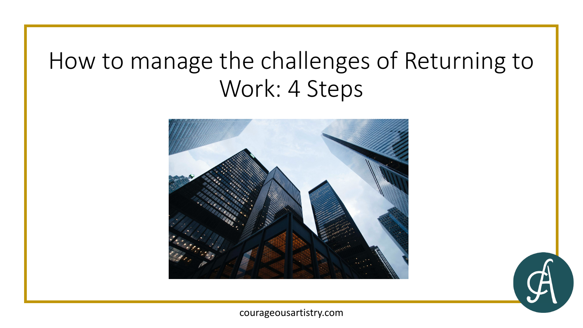#### How to manage the challenges of Returning to Work: 4 Steps



courageousartistry.com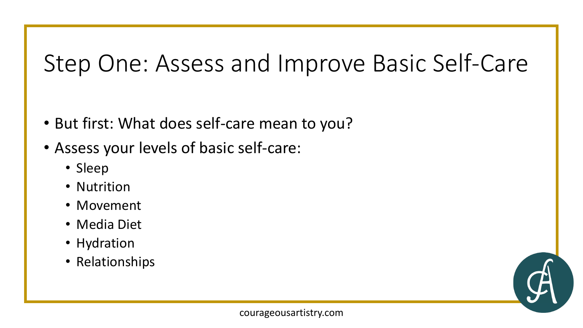### Step One: Assess and Improve Basic Self-Care

- But first: What does self-care mean to you?
- Assess your levels of basic self-care:
	- Sleep
	- Nutrition
	- Movement
	- Media Diet
	- Hydration
	- Relationships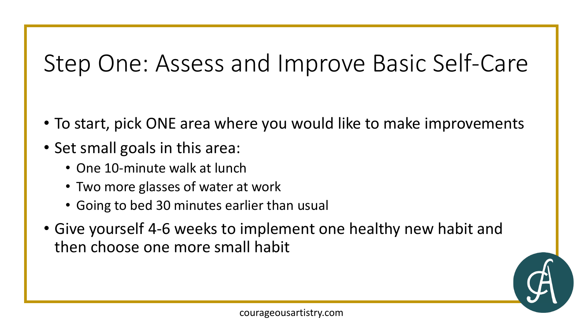## Step One: Assess and Improve Basic Self-Care

- To start, pick ONE area where you would like to make improvements
- Set small goals in this area:
	- One 10-minute walk at lunch
	- Two more glasses of water at work
	- Going to bed 30 minutes earlier than usual
- Give yourself 4-6 weeks to implement one healthy new habit and then choose one more small habit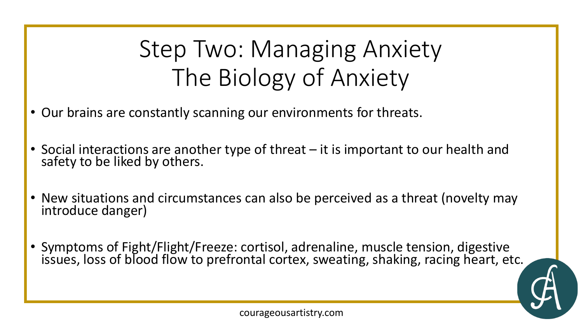## Step Two: Managing Anxiety The Biology of Anxiety

- Our brains are constantly scanning our environments for threats.
- Social interactions are another type of threat it is important to our health and safety to be liked by others.
- New situations and circumstances can also be perceived as a threat (novelty may introduce danger)
- Symptoms of Fight/Flight/Freeze: cortisol, adrenaline, muscle tension, digestive issues, loss of blood flow to prefrontal cortex, sweating, shaking, racing heart, etc.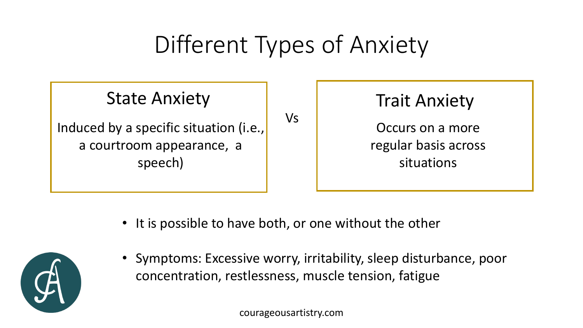## Different Types of Anxiety

#### State Anxiety

Induced by a specific situation (i.e.,  $\begin{bmatrix} V_s \end{bmatrix}$ a courtroom appearance, a speech)



• It is possible to have both, or one without the other



• Symptoms: Excessive worry, irritability, sleep disturbance, poor concentration, restlessness, muscle tension, fatigue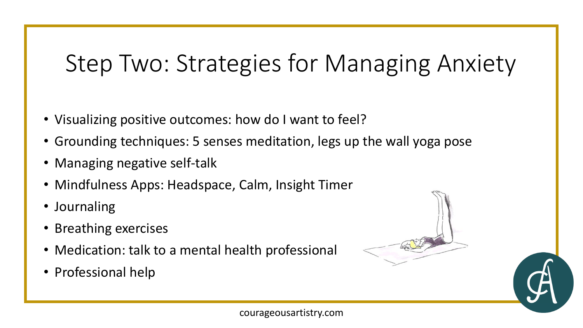## Step Two: Strategies for Managing Anxiety

- Visualizing positive outcomes: how do I want to feel?
- Grounding techniques: 5 senses meditation, legs up the wall yoga pose
- Managing negative self-talk
- Mindfulness Apps: Headspace, Calm, Insight Timer
- Journaling
- Breathing exercises
- Medication: talk to a mental health professional
- Professional help

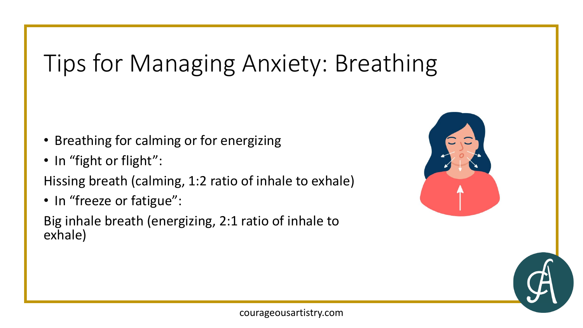## Tips for Managing Anxiety: Breathing

- Breathing for calming or for energizing
- In "fight or flight":

Hissing breath (calming, 1:2 ratio of inhale to exhale)

• In "freeze or fatigue":

Big inhale breath (energizing, 2:1 ratio of inhale to exhale)

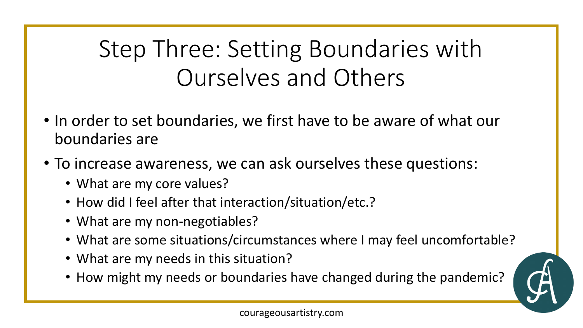## Step Three: Setting Boundaries with Ourselves and Others

- In order to set boundaries, we first have to be aware of what our boundaries are
- To increase awareness, we can ask ourselves these questions:
	- What are my core values?
	- How did I feel after that interaction/situation/etc.?
	- What are my non-negotiables?
	- What are some situations/circumstances where I may feel uncomfortable?
	- What are my needs in this situation?
	- How might my needs or boundaries have changed during the pandemic?

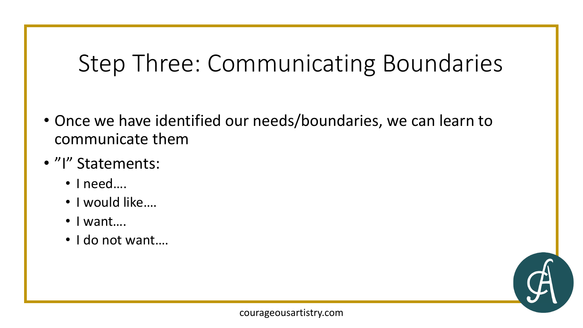## Step Three: Communicating Boundaries

- Once we have identified our needs/boundaries, we can learn to communicate them
- "I" Statements:
	- I need….
	- I would like….
	- I want….
	- I do not want....

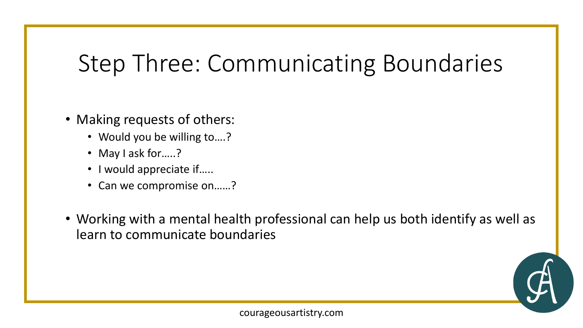## Step Three: Communicating Boundaries

- Making requests of others:
	- Would you be willing to….?
	- May I ask for.....?
	- I would appreciate if…..
	- Can we compromise on……?
- Working with a mental health professional can help us both identify as well as learn to communicate boundaries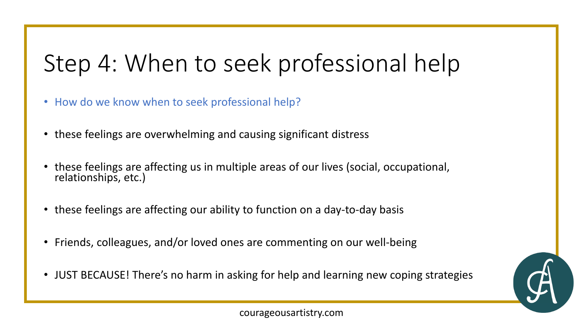## Step 4: When to seek professional help

- How do we know when to seek professional help?
- these feelings are overwhelming and causing significant distress
- these feelings are affecting us in multiple areas of our lives (social, occupational, relationships, etc.)
- these feelings are affecting our ability to function on a day-to-day basis
- Friends, colleagues, and/or loved ones are commenting on our well-being
- JUST BECAUSE! There's no harm in asking for help and learning new coping strategies

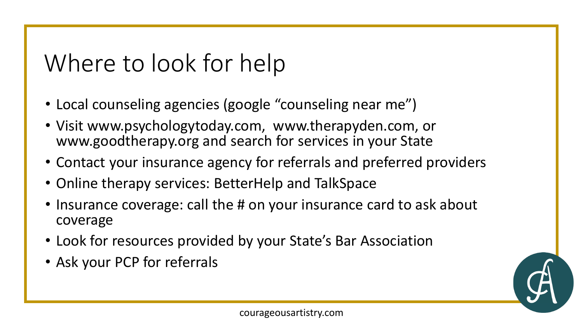## Where to look for help

- Local counseling agencies (google "counseling near me")
- Visit www.psychologytoday.com, www.therapyden.com, or www.goodtherapy.org and search for services in your State
- Contact your insurance agency for referrals and preferred providers
- Online therapy services: BetterHelp and TalkSpace
- Insurance coverage: call the # on your insurance card to ask about coverage
- Look for resources provided by your State's Bar Association
- Ask your PCP for referrals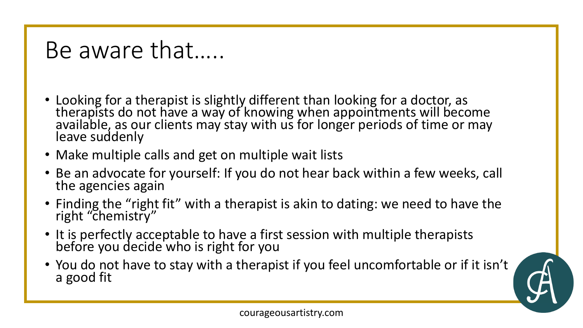#### Be aware that…..

- Looking for a therapist is slightly different than looking for a doctor, as therapists do not have a way of knowing when appointments will become available, as our clients may stay with us for longer periods of time or may leave suddenly
- Make multiple calls and get on multiple wait lists
- Be an advocate for yourself: If you do not hear back within a few weeks, call the agencies again
- Finding the "right fit" with a therapist is akin to dating: we need to have the right "chemistry"
- It is perfectly acceptable to have a first session with multiple therapists before you decide who is right for you
- You do not have to stay with a therapist if you feel uncomfortable or if it isn't a good fit

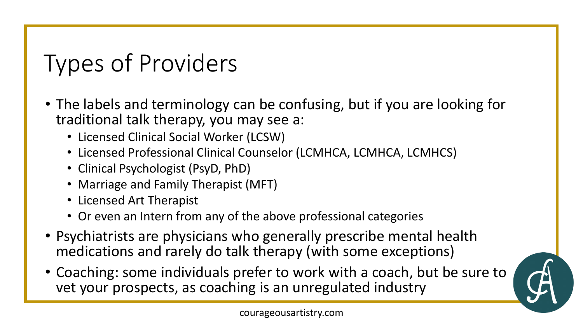# Types of Providers

- The labels and terminology can be confusing, but if you are looking for traditional talk therapy, you may see a:
	- Licensed Clinical Social Worker (LCSW)
	- Licensed Professional Clinical Counselor (LCMHCA, LCMHCA, LCMHCS)
	- Clinical Psychologist (PsyD, PhD)
	- Marriage and Family Therapist (MFT)
	- Licensed Art Therapist
	- Or even an Intern from any of the above professional categories
- Psychiatrists are physicians who generally prescribe mental health medications and rarely do talk therapy (with some exceptions)
- Coaching: some individuals prefer to work with a coach, but be sure to vet your prospects, as coaching is an unregulated industry